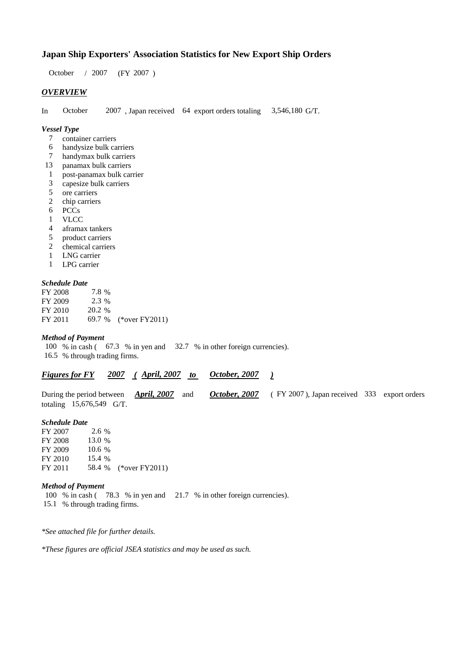### **Japan Ship Exporters' Association Statistics for New Export Ship Orders**

 $/ 2007$  (FY 2007) October / 2007

### *OVERVIEW*

In October  $2007$ , Japan received 64 export orders totaling 3,546,180 G/T. October

#### *Vessel Type*

- container carriers 7
- handysize bulk carriers 6
- handymax bulk carriers 7
- panamax bulk carriers 13
- post-panamax bulk carrier 1
- capesize bulk carriers 3
- ore carriers 5
- chip carriers 2
- PCCs 6
- VLCC 1
- aframax tankers 4
- product carriers 5
- chemical carriers 2
- LNG carrier 1
- LPG carrier 1

#### *Schedule Date*

| FY 2008 | 7.8%    |                       |
|---------|---------|-----------------------|
| FY 2009 | $2.3\%$ |                       |
| FY 2010 | 20.2 %  |                       |
| FY 2011 |         | 69.7 % (*over FY2011) |

#### *Method of Payment*

100 % in cash (67.3 % in yen and 32.7 % in other foreign currencies). % through trading firms. 16.5

| <b>Figures for FY</b> | 2007 | <b>April, 2007</b> | October, 2007 |  |
|-----------------------|------|--------------------|---------------|--|
|                       |      |                    |               |  |

|                            |  |  | During the period between <i>April, 2007</i> and <i>October, 2007</i> (FY 2007), Japan received 333 export orders |  |
|----------------------------|--|--|-------------------------------------------------------------------------------------------------------------------|--|
| totaling $15,676,549$ G/T. |  |  |                                                                                                                   |  |

#### *Schedule Date*

FY 2007 FY 2008 FY 2009 FY 2010 FY 2011 58.4 % (\*over FY 2011) 13.0 % 10.6 2.6 % 15.4 %

#### *Method of Payment*

100 % in cash (78.3 % in yen and 21.7 % in other foreign currencies). 15.1 % through trading firms.

*\*See attached file for further details.*

*\*These figures are official JSEA statistics and may be used as such.*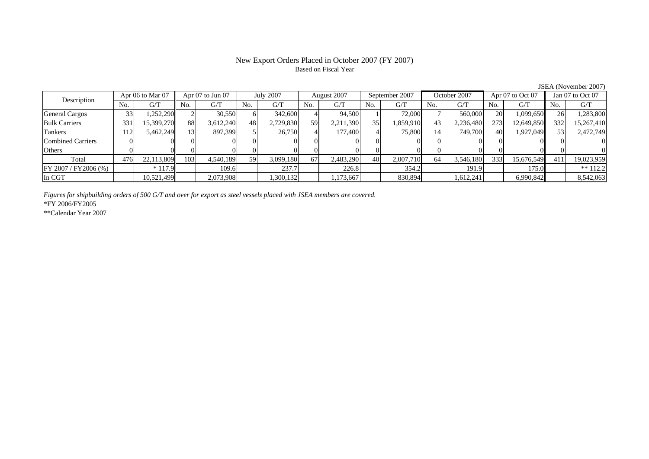## Based on Fiscal Year

No. G/T No. G/T No. G/T No. G/T No. G/T No. G/T No. G/T No. G/TGeneral Cargos | 33| 1,252,290|| 2| 30,550| 6| 342,600| 4| 94,500| 1| 72,000| 7| 560,000| 20| 1,099,650|| 26| 1,283,800 Bulk Carriers 331 15,399,270 88 3,612,240 48 2,729,830 59 2,211,390 35 1,859,910 43 2,236,480 273 12,649,850 332 15,267,410 Tankers | 112| 5,462,249|| 13| 897,399| 5| 26,750| 4| 177,400| 4| 75,800| 14| 749,700| 40| 1,927,049|| 53| 2,472,749 Combined Carriers 0 0 0 0 0 0 0 0 0 0 0 0 0 0 0 0Others 0 0 0 0 0 0 0 0 0 0 0 0 0 0 0 0 $\mathbf{0}$ Total 476 22,113,809 103 4,540,189 59 3,099,180 67 2,483,290 40 2,007,710 64 3,546,180 333 15,676,549 411 19,023,959  $\boxed{\text{FY 2007 / FY2006 } (\%) }$  \* 117.9 109.6 237.7 236.8 354.2 191.9 109.9 \*\* 112.2 In CGT | | 10,521,499| | 2,073,908| | 1,300,132| | 1,173,667| | 830,894| | 1,612,241| | 6,990,842|| | 8,542,063 August 2007 Description Apr 06 to Mar 07 Apr 07 to Jun 07 July 2007 August 2007 September 2007 October 2007 Apr 07 to Oct 07 Jan 07 to Oct 07

*Figures for shipbuilding orders of 500 G/T and over for export as steel vessels placed with JSEA members are covered.*

\*FY 2006/FY2005

\*\*Calendar Year 2007

JSEA (November 2007)

# New Export Orders Placed in October 2007 (FY 2007)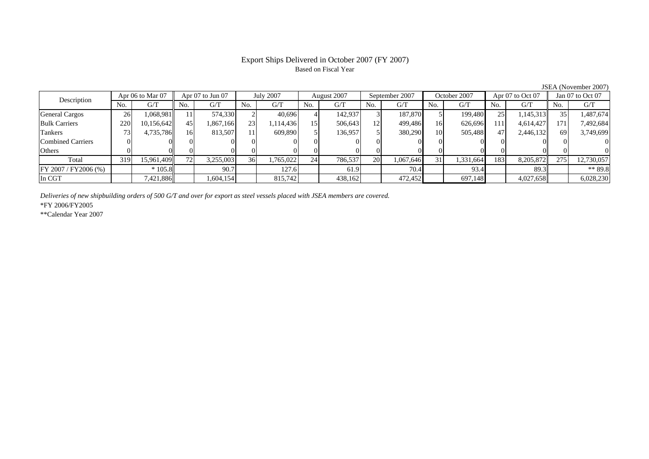## Based on Fiscal Year

No. I G/T II No. I G/T II No. I G/T II No. I G/T G/T II No. I G/T II No. I G/T II No. I G/T II No. I G/T II No  $G/T$ General Cargos 26 | 1,068,981 || 11 | 574,330 | 2 | 40,696 | 4 | 142,937 | 3 | 187,870 | 5 | 199,480 | 25 | 1,145,313 || 35 | Bulk Carriers 220 10,156,642 45 1,867,166 23 1,114,436 15 506,643 12 499,486 16 626,696 111 4,614,427 171 7,492,684 Tankers | 73| 4,735,786|| 16| 813,507| 11| 609,890| 5| 136,957| 5| 380,290| 10| 505,488| 47| 2,446,132|| 69| 3,749,699 Combined Carriers 0 0 0 0 0 0 0 0 0 0 0 0 0 0 0 0Others | 0 | 0 | 0 | 0 | 0 | 0 | 0 | 0 | 0 | 0 | 0 | 0 Total 319 15,961,409 72 3,255,003 36 1,765,022 24 786,537 20 1,067,646 31 1,331,664 183 8,205,872 275 12,730,057 FY 2007 / FY2006 (%) \* 105.8 90.7 127.6 61.9 70.4 93.4 89.3 \*\* 89.8 In CGT | | 7,421,886|| | 1,604,154 | | 815,742 | | 438,162 | | 472,452 | | 697,148 | | 4,027,658 | | 6,028,230 July 2007 August 2007 Description Apr 06 to Mar 07 | Apr 07 to Jun 07 | July 2007 | August 2007 | September 2007 | October 2007 | Apr 07 to Oct 07 || Jan 07 to Oct 07

*Deliveries of new shipbuilding orders of 500 G/T and over for export as steel vessels placed with JSEA members are covered.*

\*FY 2006/FY2005

\*\*Calendar Year 2007

JSEA (November 2007)

# Export Ships Delivered in October 2007 (FY 2007)